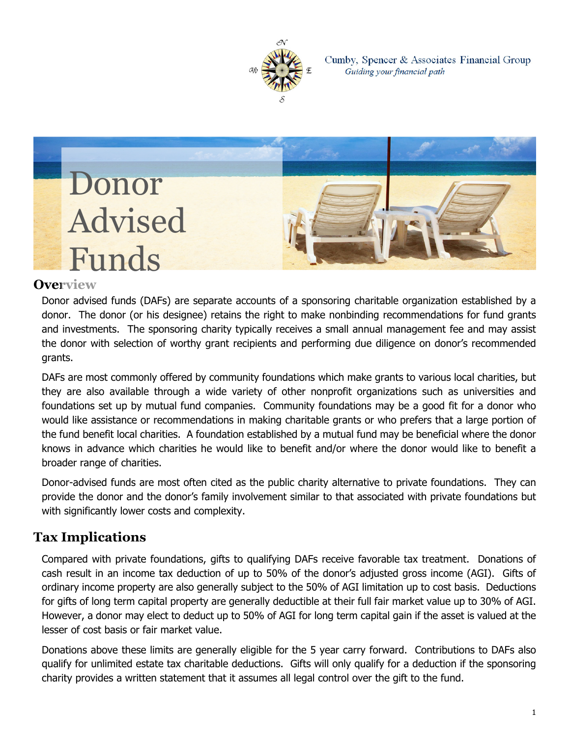

Cumby, Spencer & Associates Financial Group Guiding your financial path



#### **Overview**

Donor advised funds (DAFs) are separate accounts of a sponsoring charitable organization established by a donor. The donor (or his designee) retains the right to make nonbinding recommendations for fund grants and investments. The sponsoring charity typically receives a small annual management fee and may assist the donor with selection of worthy grant recipients and performing due diligence on donor's recommended grants.

DAFs are most commonly offered by community foundations which make grants to various local charities, but they are also available through a wide variety of other nonprofit organizations such as universities and foundations set up by mutual fund companies. Community foundations may be a good fit for a donor who would like assistance or recommendations in making charitable grants or who prefers that a large portion of the fund benefit local charities. A foundation established by a mutual fund may be beneficial where the donor knows in advance which charities he would like to benefit and/or where the donor would like to benefit a broader range of charities.

Donor-advised funds are most often cited as the public charity alternative to private foundations. They can provide the donor and the donor's family involvement similar to that associated with private foundations but with significantly lower costs and complexity.

### **Tax Implications**

Compared with private foundations, gifts to qualifying DAFs receive favorable tax treatment. Donations of cash result in an income tax deduction of up to 50% of the donor's adjusted gross income (AGI). Gifts of ordinary income property are also generally subject to the 50% of AGI limitation up to cost basis. Deductions for gifts of long term capital property are generally deductible at their full fair market value up to 30% of AGI. However, a donor may elect to deduct up to 50% of AGI for long term capital gain if the asset is valued at the lesser of cost basis or fair market value.

Donations above these limits are generally eligible for the 5 year carry forward. Contributions to DAFs also qualify for unlimited estate tax charitable deductions. Gifts will only qualify for a deduction if the sponsoring charity provides a written statement that it assumes all legal control over the gift to the fund.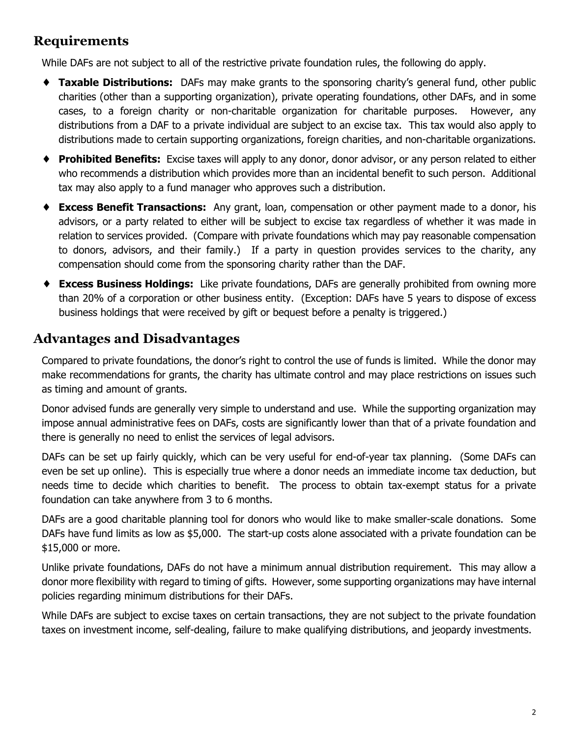#### **Requirements**

While DAFs are not subject to all of the restrictive private foundation rules, the following do apply.

- ♦ **Taxable Distributions:** DAFs may make grants to the sponsoring charity's general fund, other public charities (other than a supporting organization), private operating foundations, other DAFs, and in some cases, to a foreign charity or non-charitable organization for charitable purposes. However, any distributions from a DAF to a private individual are subject to an excise tax. This tax would also apply to distributions made to certain supporting organizations, foreign charities, and non-charitable organizations.
- ♦ **Prohibited Benefits:** Excise taxes will apply to any donor, donor advisor, or any person related to either who recommends a distribution which provides more than an incidental benefit to such person. Additional tax may also apply to a fund manager who approves such a distribution.
- ♦ **Excess Benefit Transactions:** Any grant, loan, compensation or other payment made to a donor, his advisors, or a party related to either will be subject to excise tax regardless of whether it was made in relation to services provided. (Compare with private foundations which may pay reasonable compensation to donors, advisors, and their family.) If a party in question provides services to the charity, any compensation should come from the sponsoring charity rather than the DAF.
- ♦ **Excess Business Holdings:** Like private foundations, DAFs are generally prohibited from owning more than 20% of a corporation or other business entity. (Exception: DAFs have 5 years to dispose of excess business holdings that were received by gift or bequest before a penalty is triggered.)

### **Advantages and Disadvantages**

Compared to private foundations, the donor's right to control the use of funds is limited. While the donor may make recommendations for grants, the charity has ultimate control and may place restrictions on issues such as timing and amount of grants.

Donor advised funds are generally very simple to understand and use. While the supporting organization may impose annual administrative fees on DAFs, costs are significantly lower than that of a private foundation and there is generally no need to enlist the services of legal advisors.

DAFs can be set up fairly quickly, which can be very useful for end-of-year tax planning. (Some DAFs can even be set up online). This is especially true where a donor needs an immediate income tax deduction, but needs time to decide which charities to benefit. The process to obtain tax-exempt status for a private foundation can take anywhere from 3 to 6 months.

DAFs are a good charitable planning tool for donors who would like to make smaller-scale donations. Some DAFs have fund limits as low as \$5,000. The start-up costs alone associated with a private foundation can be \$15,000 or more.

Unlike private foundations, DAFs do not have a minimum annual distribution requirement. This may allow a donor more flexibility with regard to timing of gifts. However, some supporting organizations may have internal policies regarding minimum distributions for their DAFs.

While DAFs are subject to excise taxes on certain transactions, they are not subject to the private foundation taxes on investment income, self-dealing, failure to make qualifying distributions, and jeopardy investments.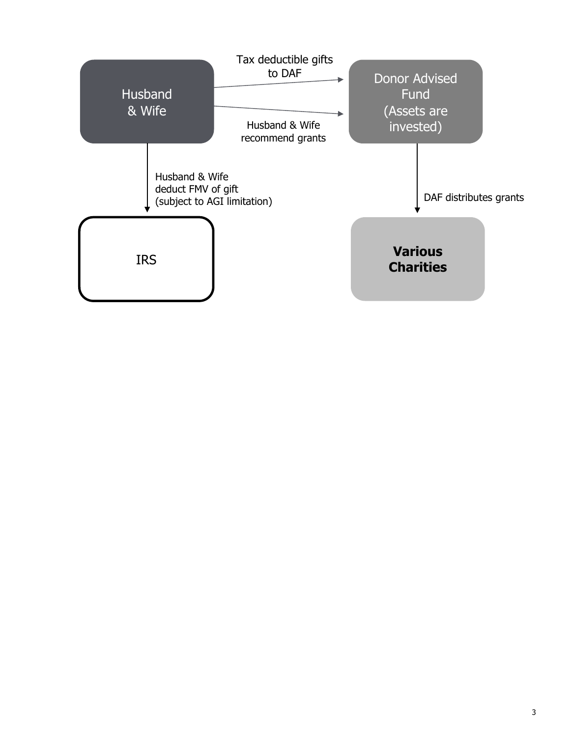